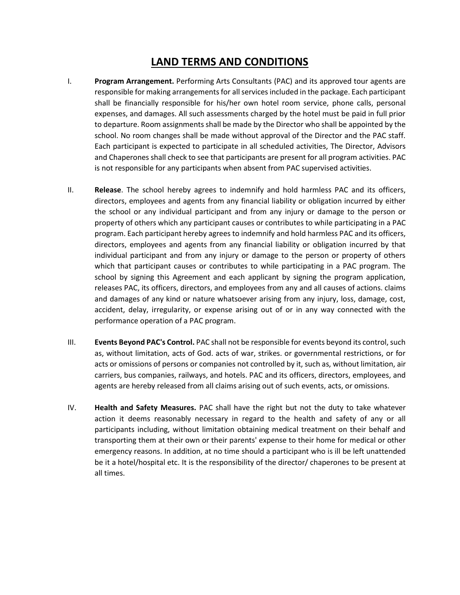## **LAND TERMS AND CONDITIONS**

- I. **Program Arrangement.** Performing Arts Consultants (PAC) and its approved tour agents are responsible for making arrangements for all services included in the package. Each participant shall be financially responsible for his/her own hotel room service, phone calls, personal expenses, and damages. All such assessments charged by the hotel must be paid in full prior to departure. Room assignments shall be made by the Director who shall be appointed by the school. No room changes shall be made without approval of the Director and the PAC staff. Each participant is expected to participate in all scheduled activities, The Director, Advisors and Chaperones shall check to see that participants are present for all program activities. PAC is not responsible for any participants when absent from PAC supervised activities.
- II. **Release**. The school hereby agrees to indemnify and hold harmless PAC and its officers, directors, employees and agents from any financial liability or obligation incurred by either the school or any individual participant and from any injury or damage to the person or property of others which any participant causes or contributes to while participating in a PAC program. Each participant hereby agrees to indemnify and hold harmless PAC and its officers, directors, employees and agents from any financial liability or obligation incurred by that individual participant and from any injury or damage to the person or property of others which that participant causes or contributes to while participating in a PAC program. The school by signing this Agreement and each applicant by signing the program application, releases PAC, its officers, directors, and employees from any and all causes of actions. claims and damages of any kind or nature whatsoever arising from any injury, loss, damage, cost, accident, delay, irregularity, or expense arising out of or in any way connected with the performance operation of a PAC program.
- III. **Events Beyond PAC's Control.** PAC shall not be responsible for events beyond its control, such as, without limitation, acts of God. acts of war, strikes. or governmental restrictions, or for acts or omissions of persons or companies not controlled by it, such as, without limitation, air carriers, bus companies, railways, and hotels. PAC and its officers, directors, employees, and agents are hereby released from all claims arising out of such events, acts, or omissions.
- IV. **Health and Safety Measures.** PAC shall have the right but not the duty to take whatever action it deems reasonably necessary in regard to the health and safety of any or all participants including, without limitation obtaining medical treatment on their behalf and transporting them at their own or their parents' expense to their home for medical or other emergency reasons. In addition, at no time should a participant who is ill be left unattended be it a hotel/hospital etc. It is the responsibility of the director/ chaperones to be present at all times.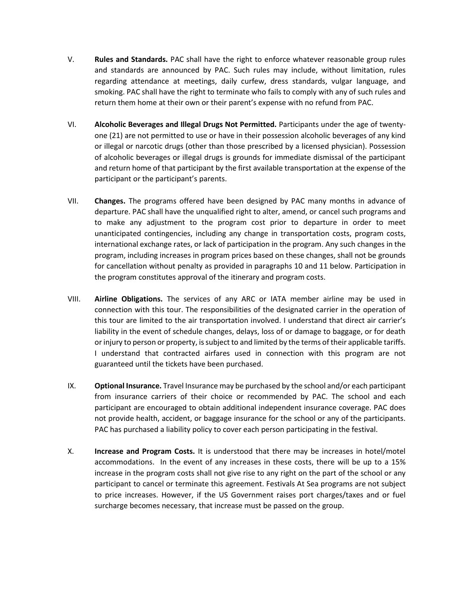- V. **Rules and Standards.** PAC shall have the right to enforce whatever reasonable group rules and standards are announced by PAC. Such rules may include, without limitation, rules regarding attendance at meetings, daily curfew, dress standards, vulgar language, and smoking. PAC shall have the right to terminate who fails to comply with any of such rules and return them home at their own or their parent's expense with no refund from PAC.
- VI. **Alcoholic Beverages and Illegal Drugs Not Permitted.** Participants under the age of twentyone (21) are not permitted to use or have in their possession alcoholic beverages of any kind or illegal or narcotic drugs (other than those prescribed by a licensed physician). Possession of alcoholic beverages or illegal drugs is grounds for immediate dismissal of the participant and return home of that participant by the first available transportation at the expense of the participant or the participant's parents.
- VII. **Changes.** The programs offered have been designed by PAC many months in advance of departure. PAC shall have the unqualified right to alter, amend, or cancel such programs and to make any adjustment to the program cost prior to departure in order to meet unanticipated contingencies, including any change in transportation costs, program costs, international exchange rates, or lack of participation in the program. Any such changes in the program, including increases in program prices based on these changes, shall not be grounds for cancellation without penalty as provided in paragraphs 10 and 11 below. Participation in the program constitutes approval of the itinerary and program costs.
- VIII. **Airline Obligations.** The services of any ARC or IATA member airline may be used in connection with this tour. The responsibilities of the designated carrier in the operation of this tour are limited to the air transportation involved. I understand that direct air carrier's liability in the event of schedule changes, delays, loss of or damage to baggage, or for death or injury to person or property, is subject to and limited by the terms of their applicable tariffs. I understand that contracted airfares used in connection with this program are not guaranteed until the tickets have been purchased.
- IX. **Optional Insurance.** Travel Insurance may be purchased by the school and/or each participant from insurance carriers of their choice or recommended by PAC. The school and each participant are encouraged to obtain additional independent insurance coverage. PAC does not provide health, accident, or baggage insurance for the school or any of the participants. PAC has purchased a liability policy to cover each person participating in the festival.
- X. **Increase and Program Costs.** It is understood that there may be increases in hotel/motel accommodations. In the event of any increases in these costs, there will be up to a 15% increase in the program costs shall not give rise to any right on the part of the school or any participant to cancel or terminate this agreement. Festivals At Sea programs are not subject to price increases. However, if the US Government raises port charges/taxes and or fuel surcharge becomes necessary, that increase must be passed on the group.